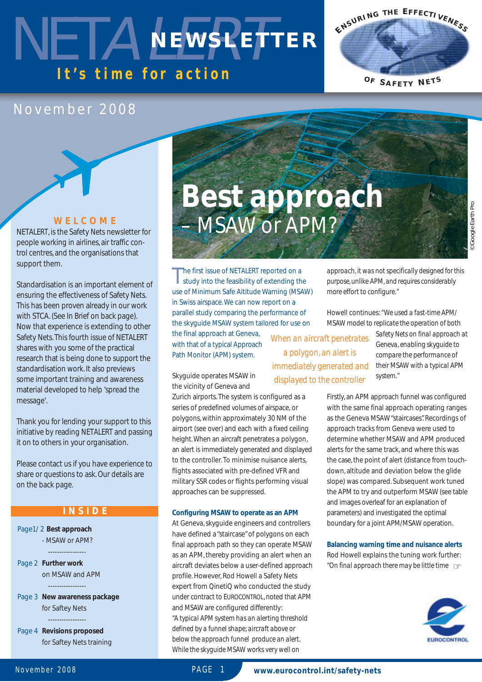### NETALEWSPETI *It's time for action* **NEWSLETTER**

### November 2008

### **WELCOME**

NET*ALERT*, is the Safety Nets newsletter for people working in airlines, air traffic control centres, and the organisations that support them.

Standardisation is an important element of ensuring the effectiveness of Safety Nets. This has been proven already in our work with STCA. (See In Brief on back page). Now that experience is extending to other Safety Nets.This fourth issue of NET*ALERT* shares with you some of the practical research that is being done to support the standardisation work. It also previews some important training and awareness material developed to help 'spread the message'.

Thank you for lending your support to this initiative by reading NET*ALERT* and passing it on to others in your organisation.

Please contact us if you have experience to share or questions to ask. Our details are on the back page.

### **INSIDE**

Page1/ 2 **Best approach** - MSAW or APM?  $-$ 

Page 2 **Further work** on MSAW and APM  $-$ 

Page 3 **New awareness package** for Saftey Nets

-----------------

Page 4 **Revisions proposed** for Saftey Nets training

# **Best approach**  – MSAW or APM?

*© Google Earth Pro* <sup>D</sup> Google Earth Pro

The first issue of NETALERT reported on a<br>study into the feasibility of extending the use of Minimum Safe Altitude Warning (MSAW) in Swiss airspace. We can now report on a parallel study comparing the performance of the skyguide MSAW system tailored for use on

Zurich airports. The system is configured as a series of predefined volumes of airspace, or polygons, within approximately 30 NM of the airport (see over) and each with a fixed ceiling height.When an aircraft penetrates a polygon, an alert is immediately generated and displayed to the controller. To minimise nuisance alerts, flights associated with pre-defined VFR and military SSR codes or flights performing visual

the final approach at Geneva, with that of a typical Approach Path Monitor (APM) system.

Skyguide operates MSAW in the vicinity of Geneva and

approaches can be suppressed.

**Configuring MSAW to operate as an APM** At Geneva, skyguide engineers and controllers have defined a "staircase" of polygons on each final approach path so they can operate MSAW as an APM, thereby providing an alert when an aircraft deviates below a user-defined approach profile. However, Rod Howell a Safety Nets expert from QinetiQ who conducted the study under contract to EUROCONTROL, noted that APM

and MSAW are configured differently:

*"A typical APM system has an alerting threshold defined by a funnel shape; aircraft above or below the approach funnel produce an alert. While the skyguide MSAW works very well on*

*When an aircraft penetrates a polygon, an alert is immediately generated and displayed to the controller*

*approach, it was not specifically designed for this purpose,unlike APM, and requires considerably more effort to configure."*

**E <sup>N</sup> <sup>S</sup> <sup>U</sup> <sup>R</sup> <sup>I</sup> <sup>N</sup> <sup>G</sup> <sup>T</sup> <sup>H</sup> <sup>E</sup> <sup>E</sup> <sup>F</sup> <sup>F</sup> <sup>E</sup> <sup>C</sup> <sup>T</sup> <sup>I</sup> <sup>V</sup> <sup>E</sup> <sup>N</sup> <sup>E</sup> <sup>S</sup> <sup>S</sup>**

**<sup>O</sup> <sup>F</sup> <sup>S</sup> <sup>A</sup> <sup>F</sup> <sup>E</sup> <sup>T</sup> <sup>Y</sup> <sup>N</sup> <sup>E</sup> <sup>T</sup> <sup>S</sup>**

Howell continues:*"We used a fast-time APM/ MSAW model to replicate the operation of both*

> *Safety Nets on final approach at Geneva, enabling skyguide to compare the performance of their MSAW with a typical APM system."*

Firstly, an APM approach funnel was configured with the same final approach operating ranges as the Geneva MSAW "staircases". Recordings of approach tracks from Geneva were used to determine whether MSAW and APM produced alerts for the same track, and where this was the case, the point of alert (distance from touchdown, altitude and deviation below the glide slope) was compared. Subsequent work tuned the APM to try and outperform MSAW (see table and images overleaf for an explanation of parameters) and investigated the optimal boundary for a joint APM/MSAW operation.

**Balancing warning time and nuisance alerts** Rod Howell explains the tuning work further: *"On final approach there may be little time* ☞



November 2008 PAGE 1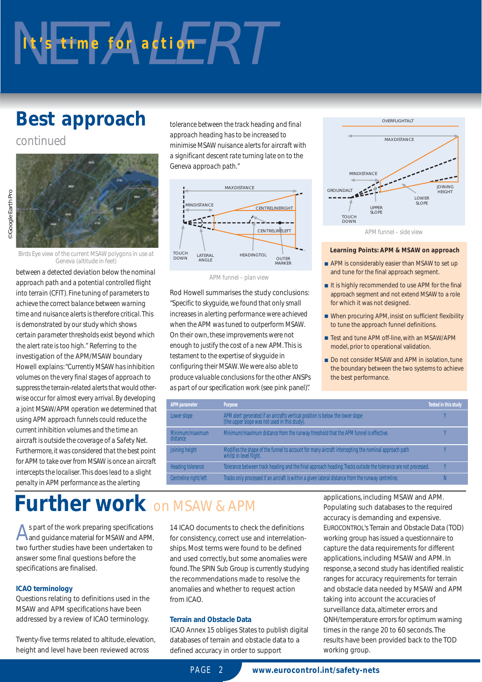# $Nt$ 's time for action  $RT$

### **Best approach**

*continued*



*Birds Eye view of the current MSAW polygons in use at Geneva (altitude in feet)*

*between a detected deviation below the nominal approach path and a potential controlled flight into terrain (CFIT). Fine tuning of parameters to achieve the correct balance between warning time and nuisance alerts is therefore critical. This is demonstrated by our study which shows certain parameter thresholds exist beyond which the alert rate is too high."* Referring to the investigation of the APM/MSAW boundary Howell explains:*"Currently MSAW has inhibition volumes on the very final stages of approach to suppress the terrain-related alerts that would otherwise occur for almost every arrival. By developing a joint MSAW/APM operation we determined that using APM approach funnels could reduce the current inhibition volumes and the time an aircraft is outside the coverage of a Safety Net. Furthermore, it was considered that the best point for APM to take over from MSAW is once an aircraft intercepts the localiser. This does lead to a slight penalty in APM performance as the alerting*

*tolerance between the track heading and final approach heading has to be increased to minimise MSAW nuisance alerts for aircraft with a significant descent rate turning late on to the Geneva approach path."*



*APM funnel – plan view*

Rod Howell summarises the study conclusions: *"Specific to skyguide, we found that only small increases in alerting performance were achieved when the APM was tuned to outperform MSAW. On their own, these improvements were not enough to justify the cost of a new APM. This is testament to the expertise of skyguide in configuring their MSAW. We were also able to produce valuable conclusions for the other ANSPs as part of our specification work* (see pink panel)*".*



#### **Learning Points: APM & MSAW on approach**

- APM is considerably easier than MSAW to set up and tune for the final approach segment.
- It is highly recommended to use APM for the final approach segment and not extend MSAW to a role for which it was not designed.
- When procuring APM, insist on sufficient flexibility to tune the approach funnel definitions.
- Test and tune APM off-line, with an MSAW/APM model, prior to operational validation.
- Do not consider MSAW and APM in isolation, tune the boundary between the two systems to achieve the best performance.

| APM parameter               | Purpose                                                                                                                         | Tested in this study |
|-----------------------------|---------------------------------------------------------------------------------------------------------------------------------|----------------------|
| Lower slope                 | APM alert generated if an aircrafts vertical position is below the lower slope (the upper slope was not used in this study).    |                      |
| Minimum/maximum<br>distance | Minimum/maximum distance from the runway threshold that the APM funnel is effective.                                            |                      |
| Joining height              | Modifies the shape of the funnel to account for many aircraft intercepting the nominal approach path<br>whilst in level flight. |                      |
| Heading tolerance           | Tolerance between track heading and the final approach heading. Tracks outside the tolerance are not processed.                 |                      |
| Centreline right/left       | Tracks only processed if an aircraft is within a given lateral distance from the runway centreline.                             |                      |

### **Further work** on MSAW & APM

As part of the work preparing specifications<br>And guidance material for MSAW and APM, two further studies have been undertaken to answer some final questions before the specifications are finalised.

#### **ICAO terminology**

Questions relating to definitions used in the MSAW and APM specifications have been addressed by a review of ICAO terminology.

Twenty-five terms related to altitude, elevation, height and level have been reviewed across

14 ICAO documents to check the definitions for consistency, correct use and interrelationships. Most terms were found to be defined and used correctly, but some anomalies were found.The SPIN Sub Group is currently studying the recommendations made to resolve the anomalies and whether to request action from ICAO.

#### **Terrain and Obstacle Data**

ICAO Annex 15 obliges States to publish digital databases of terrain and obstacle data to a defined accuracy in order to support

applications, including MSAW and APM. Populating such databases to the required accuracy is demanding and expensive. EUROCONTROL's Terrain and Obstacle Data (TOD) working group has issued a questionnaire to capture the data requirements for different applications, including MSAW and APM. In response, a second study has identified realistic ranges for accuracy requirements for terrain and obstacle data needed by MSAW and APM taking into account the accuracies of surveillance data, altimeter errors and QNH/temperature errors for optimum warning times in the range 20 to 60 seconds. The results have been provided back to the TOD working group.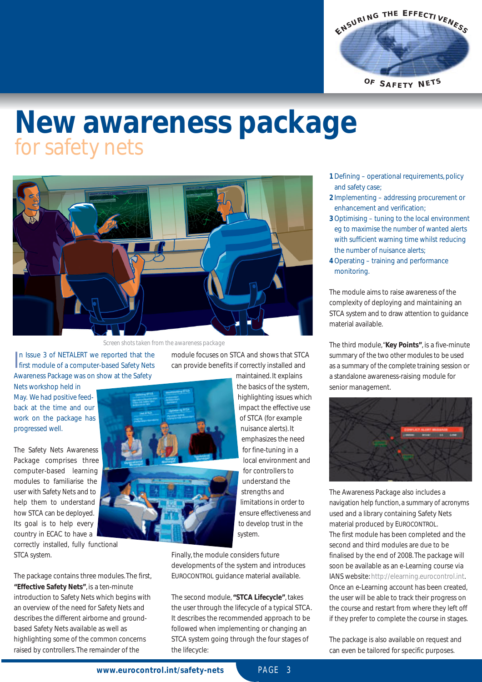

### **New awareness package**  for safety nets



*Screen shots taken from the awareness package*

In Issue 3 of NETALERT we reported that the<br>first module of a computer-based Safety Nets n Issue 3 of NET*ALERT* we reported that the Awareness Package was on show at the Safety

Nets workshop held in May. We had positive feedback at the time and our work on the package has progressed well.

The Safety Nets Awareness Package comprises three computer-based learning modules to familiarise the user with Safety Nets and to help them to understand how STCA can be deployed. Its goal is to help every country in ECAC to have a

correctly installed, fully functional STCA system.

The package contains three modules. The first, **"Effective Safety Nets"**, is a ten-minute introduction to Safety Nets which begins with an overview of the need for Safety Nets and describes the different airborne and groundbased Safety Nets available as well as highlighting some of the common concerns raised by controllers. The remainder of the

module focuses on STCA and shows that STCA can provide benefits if correctly installed and



highlighting issues which impact the effective use of STCA (for example nuisance alerts). It emphasizes the need for fine-tuning in a local environment and for controllers to understand the strengths and limitations in order to ensure effectiveness and to develop trust in the system.

Finally, the module considers future developments of the system and introduces EUROCONTROL guidance material available.

The second module, **"STCA Lifecycle"**, takes the user through the lifecycle of a typical STCA. It describes the recommended approach to be followed when implementing or changing an STCA system going through the four stages of the lifecycle:

- **1**Defining operational requirements, policy and safety case;
- **2** Implementing addressing procurement or enhancement and verification;
- **3**Optimising tuning to the local environment eg to maximise the number of wanted alerts with sufficient warning time whilst reducing the number of nuisance alerts;
- **4**Operating training and performance monitoring.

The module aims to raise awareness of the complexity of deploying and maintaining an STCA system and to draw attention to guidance material available.

The third module,"**Key Points"**, is a five-minute summary of the two other modules to be used as a summary of the complete training session or a standalone awareness-raising module for senior management.



The Awareness Package also includes a navigation help function, a summary of acronyms used and a library containing Safety Nets material produced by EUROCONTROL. The first module has been completed and the second and third modules are due to be finalised by the end of 2008. The package will soon be available as an e-Learning course via IANS website: http://elearning.eurocontrol.int. Once an e-Learning account has been created, the user will be able to track their progress on the course and restart from where they left off if they prefer to complete the course in stages.

The package is also available on request and can even be tailored for specific purposes.

**www.eurocontrol.int/safety-nets** PAGE 3